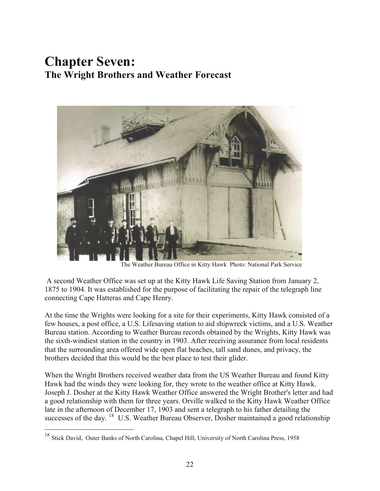## **Chapter Seven: The Wright Brothers and Weather Forecast**



The Weather Bureau Office in Kitty Hawk Photo: National Park Service

 A second Weather Office was set up at the Kitty Hawk Life Saving Station from January 2, 1875 to 1904. It was established for the purpose of facilitating the repair of the telegraph line connecting Cape Hatteras and Cape Henry.

At the time the Wrights were looking for a site for their experiments, Kitty Hawk consisted of a few houses, a post office, a U.S. Lifesaving station to aid shipwreck victims, and a U.S. Weather Bureau station. According to Weather Bureau records obtained by the Wrights, Kitty Hawk was the sixth-windiest station in the country in 1903. After receiving assurance from local residents that the surrounding area offered wide open flat beaches, tall sand dunes, and privacy, the brothers decided that this would be the best place to test their glider.

When the Wright Brothers received weather data from the US Weather Bureau and found Kitty Hawk had the winds they were looking for, they wrote to the weather office at Kitty Hawk. Joseph J. Dosher at the Kitty Hawk Weather Office answered the Wright Brother's letter and had a good relationship with them for three years. Orville walked to the Kitty Hawk Weather Office late in the afternoon of December 17, 1903 and sent a telegraph to his father detailing the successes of the day. <sup>[18](#page-0-0)</sup> U.S. Weather Bureau Observer, Dosher maintained a good relationship

 $\overline{a}$ 

<span id="page-0-0"></span><sup>&</sup>lt;sup>18</sup> Stick David, Outer Banks of North Carolina, Chapel Hill, University of North Carolina Press, 1958